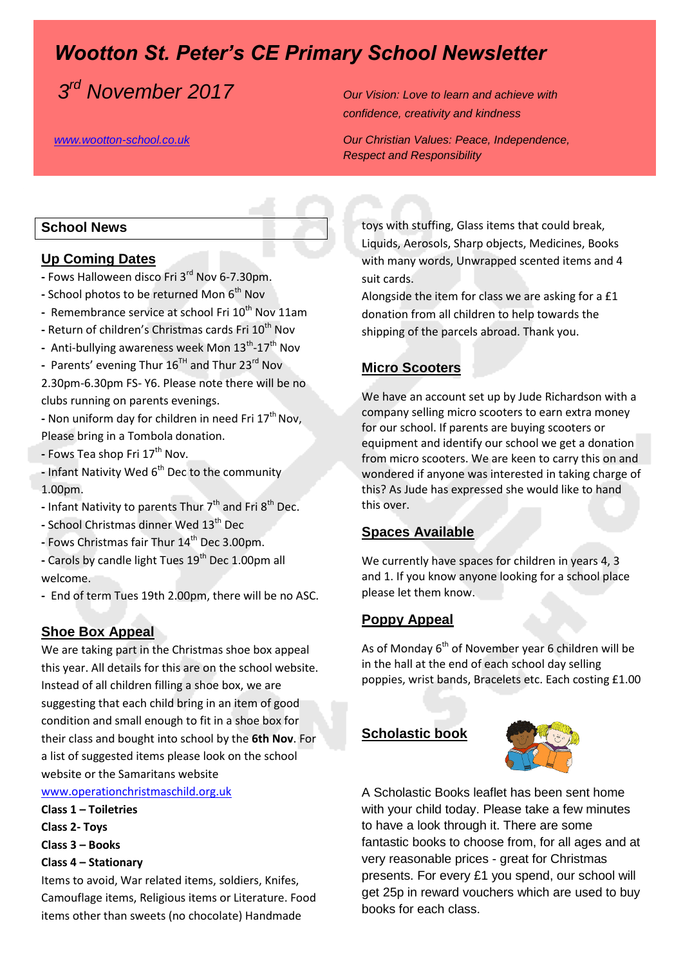# *Wootton St. Peter's CE Primary School Newsletter*

 $3<sup>rd</sup>$  November 2017

*<u>Our Vision: Love to learn and achieve with*</u> *confidence, creativity and kindness* 

*[www.wootton-school.co.uk](http://www.wootton-school.co.uk/) Our Christian Values: Peace, Independence, Respect and Responsibility* 

## **School News**

#### **Up Coming Dates**

- **-** Fows Halloween disco Fri 3rd Nov 6-7.30pm.
- **-** School photos to be returned Mon 6<sup>th</sup> Nov
- **-** Remembrance service at school Fri 10th Nov 11am
- **-** Return of children's Christmas cards Fri 10<sup>th</sup> Nov
- Anti-bullying awareness week Mon 13<sup>th</sup>-17<sup>th</sup> Nov
- **-** Parents' evening Thur 16TH and Thur 23rd Nov
- 2.30pm-6.30pm FS- Y6. Please note there will be no clubs running on parents evenings.
- **-** Non uniform day for children in need Fri 17<sup>th</sup> Nov, Please bring in a Tombola donation.
- **-** Fows Tea shop Fri 17<sup>th</sup> Nov.
- Infant Nativity Wed 6<sup>th</sup> Dec to the community 1.00pm.
- **-** Infant Nativity to parents Thur 7<sup>th</sup> and Fri 8<sup>th</sup> Dec.
- **-** School Christmas dinner Wed 13th Dec
- **-** Fows Christmas fair Thur 14th Dec 3.00pm.
- **-** Carols by candle light Tues 19th Dec 1.00pm all welcome.
- **-** End of term Tues 19th 2.00pm, there will be no ASC.

### **Shoe Box Appeal**

We are taking part in the Christmas shoe box appeal this year. All details for this are on the school website. Instead of all children filling a shoe box, we are suggesting that each child bring in an item of good condition and small enough to fit in a shoe box for their class and bought into school by the **6th Nov**. For a list of suggested items please look on the school website or the Samaritans website

[www.operationchristmaschild.org.uk](http://www.operationchristmaschild.org.uk/)

- **Class 1 – Toiletries**
- **Class 2- Toys**
- **Class 3 – Books**
- **Class 4 – Stationary**

Items to avoid, War related items, soldiers, Knifes, Camouflage items, Religious items or Literature. Food items other than sweets (no chocolate) Handmade

toys with stuffing, Glass items that could break, Liquids, Aerosols, Sharp objects, Medicines, Books with many words, Unwrapped scented items and 4 suit cards.

Alongside the item for class we are asking for a £1 donation from all children to help towards the shipping of the parcels abroad. Thank you.

## **Micro Scooters**

We have an account set up by Jude Richardson with a company selling micro scooters to earn extra money for our school. If parents are buying scooters or equipment and identify our school we get a donation from micro scooters. We are keen to carry this on and wondered if anyone was interested in taking charge of this? As Jude has expressed she would like to hand this over.

### **Spaces Available**

We currently have spaces for children in years 4, 3 and 1. If you know anyone looking for a school place please let them know.

### **Poppy Appeal**

As of Monday 6<sup>th</sup> of November year 6 children will be in the hall at the end of each school day selling poppies, wrist bands, Bracelets etc. Each costing £1.00

## **Scholastic book**



A Scholastic Books leaflet has been sent home with your child today. Please take a few minutes to have a look through it. There are some fantastic books to choose from, for all ages and at very reasonable prices - great for Christmas presents. For every £1 you spend, our school will get 25p in reward vouchers which are used to buy books for each class.